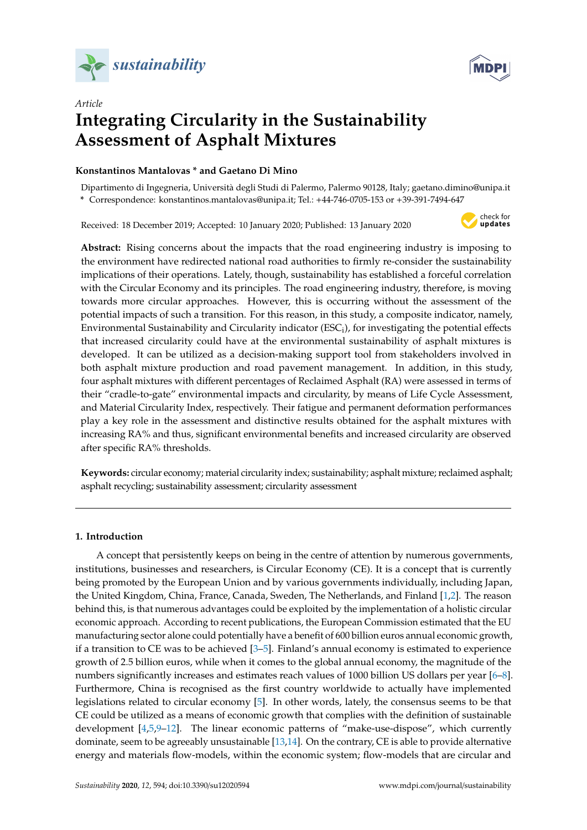



# *Article* **Integrating Circularity in the Sustainability Assessment of Asphalt Mixtures**

# **Konstantinos Mantalovas \* and Gaetano Di Mino**

Dipartimento di Ingegneria, Università degli Studi di Palermo, Palermo 90128, Italy; gaetano.dimino@unipa.it **\*** Correspondence: konstantinos.mantalovas@unipa.it; Tel.: +44-746-0705-153 or +39-391-7494-647

Received: 18 December 2019; Accepted: 10 January 2020; Published: 13 January 2020



**Abstract:** Rising concerns about the impacts that the road engineering industry is imposing to the environment have redirected national road authorities to firmly re-consider the sustainability implications of their operations. Lately, though, sustainability has established a forceful correlation with the Circular Economy and its principles. The road engineering industry, therefore, is moving towards more circular approaches. However, this is occurring without the assessment of the potential impacts of such a transition. For this reason, in this study, a composite indicator, namely, Environmental Sustainability and Circularity indicator (ESC<sub>i</sub>), for investigating the potential effects that increased circularity could have at the environmental sustainability of asphalt mixtures is developed. It can be utilized as a decision-making support tool from stakeholders involved in both asphalt mixture production and road pavement management. In addition, in this study, four asphalt mixtures with different percentages of Reclaimed Asphalt (RA) were assessed in terms of their "cradle-to-gate" environmental impacts and circularity, by means of Life Cycle Assessment, and Material Circularity Index, respectively. Their fatigue and permanent deformation performances play a key role in the assessment and distinctive results obtained for the asphalt mixtures with increasing RA% and thus, significant environmental benefits and increased circularity are observed after specific RA% thresholds.

**Keywords:** circular economy; material circularity index; sustainability; asphalt mixture; reclaimed asphalt; asphalt recycling; sustainability assessment; circularity assessment

# **1. Introduction**

A concept that persistently keeps on being in the centre of attention by numerous governments, institutions, businesses and researchers, is Circular Economy (CE). It is a concept that is currently being promoted by the European Union and by various governments individually, including Japan, the United Kingdom, China, France, Canada, Sweden, The Netherlands, and Finland [\[1,](#page-13-0)[2\]](#page-13-1). The reason behind this, is that numerous advantages could be exploited by the implementation of a holistic circular economic approach. According to recent publications, the European Commission estimated that the EU manufacturing sector alone could potentially have a benefit of 600 billion euros annual economic growth, if a transition to CE was to be achieved [\[3–](#page-13-2)[5\]](#page-13-3). Finland's annual economy is estimated to experience growth of 2.5 billion euros, while when it comes to the global annual economy, the magnitude of the numbers significantly increases and estimates reach values of 1000 billion US dollars per year [\[6–](#page-14-0)[8\]](#page-14-1). Furthermore, China is recognised as the first country worldwide to actually have implemented legislations related to circular economy [\[5\]](#page-13-3). In other words, lately, the consensus seems to be that CE could be utilized as a means of economic growth that complies with the definition of sustainable development [\[4,](#page-13-4)[5,](#page-13-3)[9–](#page-14-2)[12\]](#page-14-3). The linear economic patterns of "make-use-dispose", which currently dominate, seem to be agreeably unsustainable [\[13](#page-14-4)[,14\]](#page-14-5). On the contrary, CE is able to provide alternative energy and materials flow-models, within the economic system; flow-models that are circular and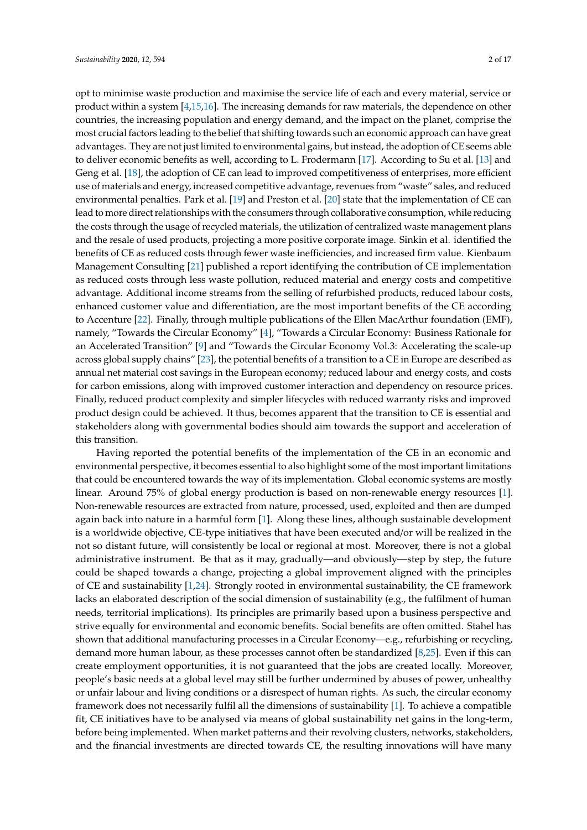opt to minimise waste production and maximise the service life of each and every material, service or product within a system [\[4](#page-13-4)[,15,](#page-14-6)[16\]](#page-14-7). The increasing demands for raw materials, the dependence on other countries, the increasing population and energy demand, and the impact on the planet, comprise the most crucial factors leading to the belief that shifting towards such an economic approach can have great advantages. They are not just limited to environmental gains, but instead, the adoption of CE seems able to deliver economic benefits as well, according to L. Frodermann [\[17\]](#page-14-8). According to Su et al. [\[13\]](#page-14-4) and Geng et al. [\[18\]](#page-14-9), the adoption of CE can lead to improved competitiveness of enterprises, more efficient use of materials and energy, increased competitive advantage, revenues from "waste" sales, and reduced environmental penalties. Park et al. [\[19\]](#page-14-10) and Preston et al. [\[20\]](#page-14-11) state that the implementation of CE can lead to more direct relationships with the consumers through collaborative consumption, while reducing the costs through the usage of recycled materials, the utilization of centralized waste management plans and the resale of used products, projecting a more positive corporate image. Sinkin et al. identified the benefits of CE as reduced costs through fewer waste inefficiencies, and increased firm value. Kienbaum Management Consulting [\[21\]](#page-14-12) published a report identifying the contribution of CE implementation as reduced costs through less waste pollution, reduced material and energy costs and competitive advantage. Additional income streams from the selling of refurbished products, reduced labour costs, enhanced customer value and differentiation, are the most important benefits of the CE according to Accenture [\[22\]](#page-14-13). Finally, through multiple publications of the Ellen MacArthur foundation (EMF), namely, "Towards the Circular Economy" [\[4\]](#page-13-4), "Towards a Circular Economy: Business Rationale for an Accelerated Transition" [\[9\]](#page-14-2) and "Towards the Circular Economy Vol.3: Accelerating the scale-up across global supply chains" [\[23\]](#page-14-14), the potential benefits of a transition to a CE in Europe are described as annual net material cost savings in the European economy; reduced labour and energy costs, and costs for carbon emissions, along with improved customer interaction and dependency on resource prices. Finally, reduced product complexity and simpler lifecycles with reduced warranty risks and improved product design could be achieved. It thus, becomes apparent that the transition to CE is essential and stakeholders along with governmental bodies should aim towards the support and acceleration of this transition.

Having reported the potential benefits of the implementation of the CE in an economic and environmental perspective, it becomes essential to also highlight some of the most important limitations that could be encountered towards the way of its implementation. Global economic systems are mostly linear. Around 75% of global energy production is based on non-renewable energy resources [\[1\]](#page-13-0). Non-renewable resources are extracted from nature, processed, used, exploited and then are dumped again back into nature in a harmful form [\[1\]](#page-13-0). Along these lines, although sustainable development is a worldwide objective, CE-type initiatives that have been executed and/or will be realized in the not so distant future, will consistently be local or regional at most. Moreover, there is not a global administrative instrument. Be that as it may, gradually—and obviously—step by step, the future could be shaped towards a change, projecting a global improvement aligned with the principles of CE and sustainability [\[1](#page-13-0)[,24\]](#page-14-15). Strongly rooted in environmental sustainability, the CE framework lacks an elaborated description of the social dimension of sustainability (e.g., the fulfilment of human needs, territorial implications). Its principles are primarily based upon a business perspective and strive equally for environmental and economic benefits. Social benefits are often omitted. Stahel has shown that additional manufacturing processes in a Circular Economy—e.g., refurbishing or recycling, demand more human labour, as these processes cannot often be standardized [\[8](#page-14-1)[,25\]](#page-14-16). Even if this can create employment opportunities, it is not guaranteed that the jobs are created locally. Moreover, people's basic needs at a global level may still be further undermined by abuses of power, unhealthy or unfair labour and living conditions or a disrespect of human rights. As such, the circular economy framework does not necessarily fulfil all the dimensions of sustainability [\[1\]](#page-13-0). To achieve a compatible fit, CE initiatives have to be analysed via means of global sustainability net gains in the long-term, before being implemented. When market patterns and their revolving clusters, networks, stakeholders, and the financial investments are directed towards CE, the resulting innovations will have many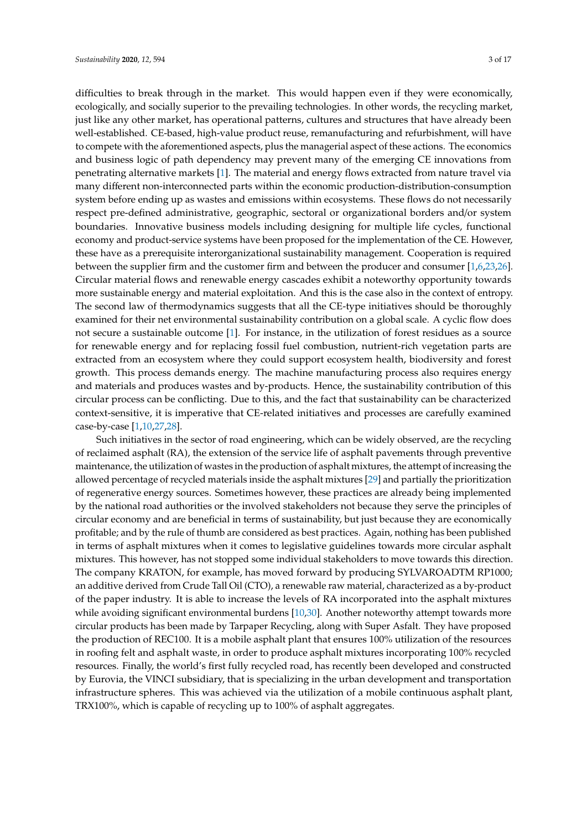difficulties to break through in the market. This would happen even if they were economically, ecologically, and socially superior to the prevailing technologies. In other words, the recycling market, just like any other market, has operational patterns, cultures and structures that have already been well-established. CE-based, high-value product reuse, remanufacturing and refurbishment, will have to compete with the aforementioned aspects, plus the managerial aspect of these actions. The economics and business logic of path dependency may prevent many of the emerging CE innovations from penetrating alternative markets [\[1\]](#page-13-0). The material and energy flows extracted from nature travel via many different non-interconnected parts within the economic production-distribution-consumption system before ending up as wastes and emissions within ecosystems. These flows do not necessarily respect pre-defined administrative, geographic, sectoral or organizational borders and/or system boundaries. Innovative business models including designing for multiple life cycles, functional economy and product-service systems have been proposed for the implementation of the CE. However, these have as a prerequisite interorganizational sustainability management. Cooperation is required between the supplier firm and the customer firm and between the producer and consumer [\[1](#page-13-0)[,6](#page-14-0)[,23](#page-14-14)[,26\]](#page-14-17). Circular material flows and renewable energy cascades exhibit a noteworthy opportunity towards more sustainable energy and material exploitation. And this is the case also in the context of entropy. The second law of thermodynamics suggests that all the CE-type initiatives should be thoroughly examined for their net environmental sustainability contribution on a global scale. A cyclic flow does not secure a sustainable outcome [\[1\]](#page-13-0). For instance, in the utilization of forest residues as a source for renewable energy and for replacing fossil fuel combustion, nutrient-rich vegetation parts are extracted from an ecosystem where they could support ecosystem health, biodiversity and forest growth. This process demands energy. The machine manufacturing process also requires energy and materials and produces wastes and by-products. Hence, the sustainability contribution of this circular process can be conflicting. Due to this, and the fact that sustainability can be characterized context-sensitive, it is imperative that CE-related initiatives and processes are carefully examined case-by-case [\[1](#page-13-0)[,10](#page-14-18)[,27,](#page-14-19)[28\]](#page-14-20).

Such initiatives in the sector of road engineering, which can be widely observed, are the recycling of reclaimed asphalt (RA), the extension of the service life of asphalt pavements through preventive maintenance, the utilization of wastes in the production of asphalt mixtures, the attempt of increasing the allowed percentage of recycled materials inside the asphalt mixtures [\[29\]](#page-14-21) and partially the prioritization of regenerative energy sources. Sometimes however, these practices are already being implemented by the national road authorities or the involved stakeholders not because they serve the principles of circular economy and are beneficial in terms of sustainability, but just because they are economically profitable; and by the rule of thumb are considered as best practices. Again, nothing has been published in terms of asphalt mixtures when it comes to legislative guidelines towards more circular asphalt mixtures. This however, has not stopped some individual stakeholders to move towards this direction. The company KRATON, for example, has moved forward by producing SYLVAROADTM RP1000; an additive derived from Crude Tall Oil (CTO), a renewable raw material, characterized as a by-product of the paper industry. It is able to increase the levels of RA incorporated into the asphalt mixtures while avoiding significant environmental burdens [\[10](#page-14-18)[,30\]](#page-14-22). Another noteworthy attempt towards more circular products has been made by Tarpaper Recycling, along with Super Asfalt. They have proposed the production of REC100. It is a mobile asphalt plant that ensures 100% utilization of the resources in roofing felt and asphalt waste, in order to produce asphalt mixtures incorporating 100% recycled resources. Finally, the world's first fully recycled road, has recently been developed and constructed by Eurovia, the VINCI subsidiary, that is specializing in the urban development and transportation infrastructure spheres. This was achieved via the utilization of a mobile continuous asphalt plant, TRX100%, which is capable of recycling up to 100% of asphalt aggregates.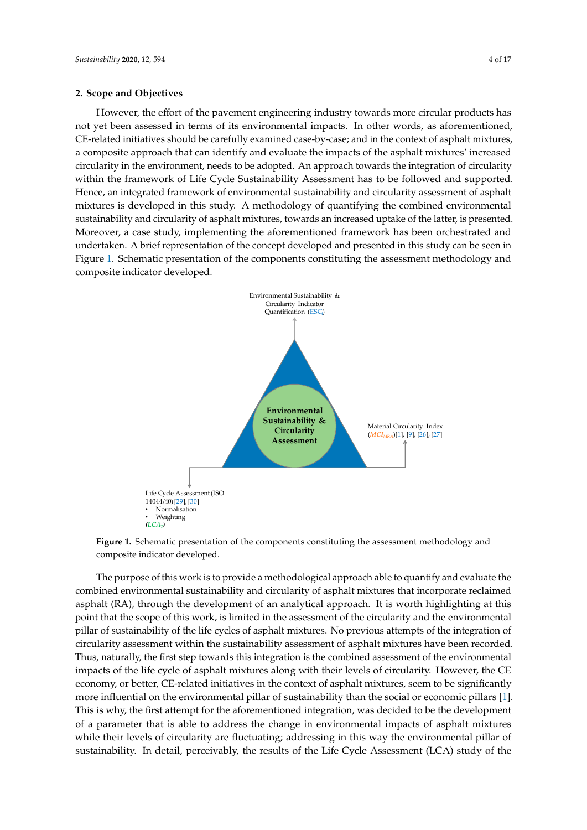#### **2. Scope and Objectives**

However, the effort of the pavement engineering industry towards more circular products has not yet been assessed in terms of its environmental impacts. In other words, as aforementioned, *CE-related initiatives should be carefully examined case-by-case; and in the context of asphalt mixtures,* a composite approach that can identify and evaluate the impacts of the asphalt mixtures' increased a composite approach that can identify and evaluate the impacts of the asphalt mixtures' increased circularity in the environment, needs to be adopted. An approach towards the integration of circularity within the framework of Life Cycle Sustainability Assessment has to be followed and supported.<br>--Hence, an integrated framework of environmental sustainability and circularity assessment of asphalt mixtures is developed in this study. A methodology of quantifying the combined environmental sustainability and circularity of asphalt mixtures, towards an increased uptake of the latter, is presented.<br>. Moreover, a case study, implementing the aforementioned framework has been orchestrated and undertaken. A brief representation of the concept developed and presented in this study can be seen in<br>— Figure [1.](#page-3-0) Schematic presentation of the components constituting the assessment methodology and composite indicator developed.

<span id="page-3-0"></span>

**Figure 1. <b>Figure 1.**  $\frac{1}{2}$  composite indicator developed. **Figure 1.** Schematic presentation of the components constituting the assessment methodology and

combined environmental sustainability and circularity of asphalt mixtures that incorporate reclaimed asphalt (RA), through the development of an analytical approach. It is worth highlighting at this point that the scope of this work, is limited in the assessment of the circularity and the environmental pillar of sustainability of the life cycles of asphalt mixtures. No previous attempts of the integration of circularity assessment within the sustainability assessment of asphalt mixtures have been recorded. Thus, naturally, the first step towards this integration is the combined assessment of the environmental impacts of the life cycle of asphalt mixtures along with their levels of circularity. However, the CE economy, or better, CE-related initiatives in the context of asphalt mixtures, seem to be significantly more influential on the environmental pillar of sustainability than the social or economic pillars [1]. This is why, the first attempt for the aforementioned integration, was decided to be the development of a parameter that is able to address the change in environmental impacts of asphalt mixtures while their levels of circularity are fluctuating; addressing in this way the environmental pillar of sustainability. In detail, perceivably, the results of the Life Cycle Assessment (LCA) study of the The purpose of this work is to provide a methodological approach able to quantify and evaluate the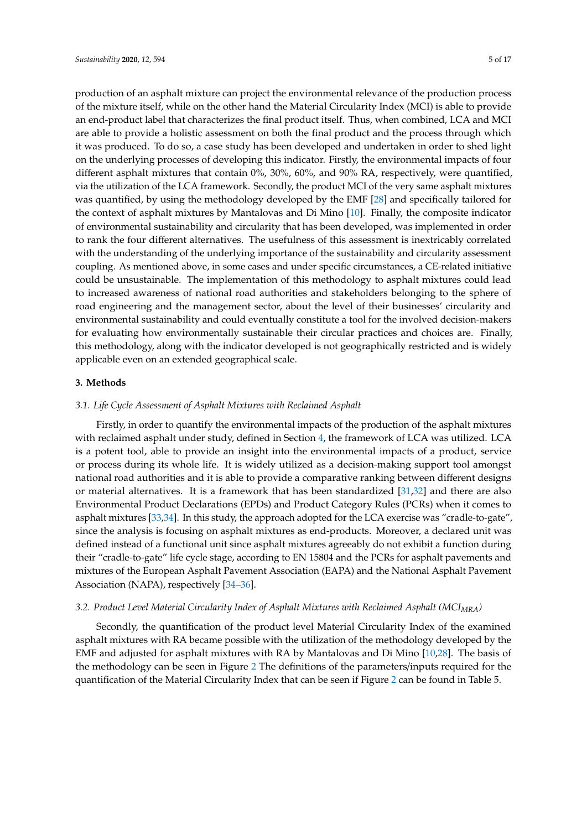production of an asphalt mixture can project the environmental relevance of the production process of the mixture itself, while on the other hand the Material Circularity Index (MCI) is able to provide an end-product label that characterizes the final product itself. Thus, when combined, LCA and MCI are able to provide a holistic assessment on both the final product and the process through which it was produced. To do so, a case study has been developed and undertaken in order to shed light on the underlying processes of developing this indicator. Firstly, the environmental impacts of four different asphalt mixtures that contain 0%, 30%, 60%, and 90% RA, respectively, were quantified, via the utilization of the LCA framework. Secondly, the product MCI of the very same asphalt mixtures was quantified, by using the methodology developed by the EMF [\[28\]](#page-14-20) and specifically tailored for the context of asphalt mixtures by Mantalovas and Di Mino [\[10\]](#page-14-18). Finally, the composite indicator of environmental sustainability and circularity that has been developed, was implemented in order to rank the four different alternatives. The usefulness of this assessment is inextricably correlated with the understanding of the underlying importance of the sustainability and circularity assessment coupling. As mentioned above, in some cases and under specific circumstances, a CE-related initiative could be unsustainable. The implementation of this methodology to asphalt mixtures could lead to increased awareness of national road authorities and stakeholders belonging to the sphere of road engineering and the management sector, about the level of their businesses' circularity and environmental sustainability and could eventually constitute a tool for the involved decision-makers for evaluating how environmentally sustainable their circular practices and choices are. Finally, this methodology, along with the indicator developed is not geographically restricted and is widely applicable even on an extended geographical scale.

# <span id="page-4-0"></span>**3. Methods**

#### *3.1. Life Cycle Assessment of Asphalt Mixtures with Reclaimed Asphalt*

Firstly, in order to quantify the environmental impacts of the production of the asphalt mixtures with reclaimed asphalt under study, defined in Section [4,](#page-6-0) the framework of LCA was utilized. LCA is a potent tool, able to provide an insight into the environmental impacts of a product, service or process during its whole life. It is widely utilized as a decision-making support tool amongst national road authorities and it is able to provide a comparative ranking between different designs or material alternatives. It is a framework that has been standardized [\[31](#page-15-0)[,32\]](#page-15-1) and there are also Environmental Product Declarations (EPDs) and Product Category Rules (PCRs) when it comes to asphalt mixtures [\[33,](#page-15-2)[34\]](#page-15-3). In this study, the approach adopted for the LCA exercise was "cradle-to-gate", since the analysis is focusing on asphalt mixtures as end-products. Moreover, a declared unit was defined instead of a functional unit since asphalt mixtures agreeably do not exhibit a function during their "cradle-to-gate" life cycle stage, according to EN 15804 and the PCRs for asphalt pavements and mixtures of the European Asphalt Pavement Association (EAPA) and the National Asphalt Pavement Association (NAPA), respectively [\[34](#page-15-3)[–36\]](#page-15-4).

## *3.2. Product Level Material Circularity Index of Asphalt Mixtures with Reclaimed Asphalt (MCIMRA)*

Secondly, the quantification of the product level Material Circularity Index of the examined asphalt mixtures with RA became possible with the utilization of the methodology developed by the EMF and adjusted for asphalt mixtures with RA by Mantalovas and Di Mino [\[10,](#page-14-18)[28\]](#page-14-20). The basis of the methodology can be seen in Figure [2](#page-5-0) The definitions of the parameters/inputs required for the quantification of the Material Circularity Index that can be seen if Figure [2](#page-5-0) can be found in Table 5.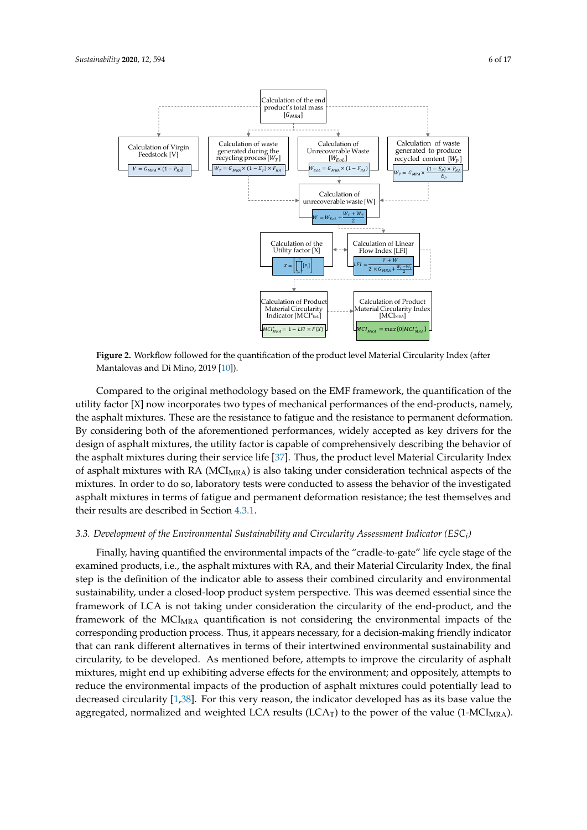<span id="page-5-0"></span>

**Figure 2.** Workflow followed for the quantification of the product level Material Circularity Index **Figure 2.** Workflow followed for the quantification of the product level Material Circularity Index (after Mantalovas and Di Mino, 2019 [\[10\]](#page-14-18)).

Compared to the original methodology based on the EMF framework, the quantification of the Compared to the original methodology based on the EMF framework, the quantification of the utility factor [X] now incorporates two types of mechanical performances of the end-products, utility factor [X] now incorporates two types of mechanical performances of the end-products, namely, the asphalt mixtures. These are the resistance to fatigue and the resistance to permanent deformation. By considering both of the aforementioned performances, widely accepted as key drivers for the design of asphalt mixtures, the utility factor is capable of comprehensively describing the behavior of the asphalt mixtures during their service life [\[37\]](#page-15-5). Thus, the product level Material Circularity Index of asphalt mixtures with RA (MCI<sub>MRA</sub>) is also taking under consideration technical aspects of the mixtures. In order to do so, laboratory tests were conducted to assess the behavior of the investigated asphalt mixtures in terms of fatigue and permanent deformation resistance; the test themselves and their results are described in Section  $4.3.1$ .

# <span id="page-5-1"></span>*3.3. Development of the Environmental Sustainability and Circularity Assessment Indicator (ESCi) 3.3. Development of the Environmental Sustainability and Circularity Assessment Indicator (ESC<sup>i</sup> )*

Finally, having quantified the environmental impacts of the "cradle-to-gate" life cycle stage of examined products, i.e., the asphalt mixtures with RA, and their Material Circularity Index, the final examined products, i.e., the asphalt mixtures with RA, and their Material Circularity Index, the miant step is the definition of the indicator able to assess their combined circularity and environmental step is the definition of the indicator able to assess their combined circularity and environmental substantial since the sustainability, under a closed-loop product system perspective. This was deemed essential since the sustainability, under a closed-loop product system perspective. This was deemed essential since the framework of LCA is not taking under consideration the circularity of the end-product, and the framework of LCA is not taking under consideration the circularity of the end-product, and the framework of the MCIMRA quantification is not considering the environmental impacts of the framework of the MCIMRA quantification is not considering the environmental impacts of the corresponding production process. Thus, it appears necessary, for a decision-making friendly indicator corresponding production process. Thus, it appears necessary, for a decision-making friendly that can rank different alternatives in terms of their intertwined environmental sustainability and indicator that can rank different alternatives in terms of their intertwined environmental circularity, to be developed. As mentioned before, attempts to improve the circularity of asphalt sustainability and circularity, to be developed. As mentioned before, attempts to improve the mixtures, might end up exhibiting adverse effects for the environment; and oppositely, attempts to mixtures, might end up exhibiting adverse ences for the environment, and oppositely, attempts to reduce the environmental impacts of the production of asphalt mixtures could potentially lead to decreased circularity [\[1](#page-13-0)[,38\]](#page-15-6). For this very reason, the indicator developed has as its base value the  $\frac{1}{3}$ . For this very reason, the indicator developed has as no base and the indicator developed has as as as as as as  $\frac{1}{3}$ . aggregated, normalized and weighted LCA results (LCA<sub>T</sub>) to the power of the value (1-MCI<sub>MRA</sub>). Finally, having quantified the environmental impacts of the "cradle-to-gate" life cycle stage of the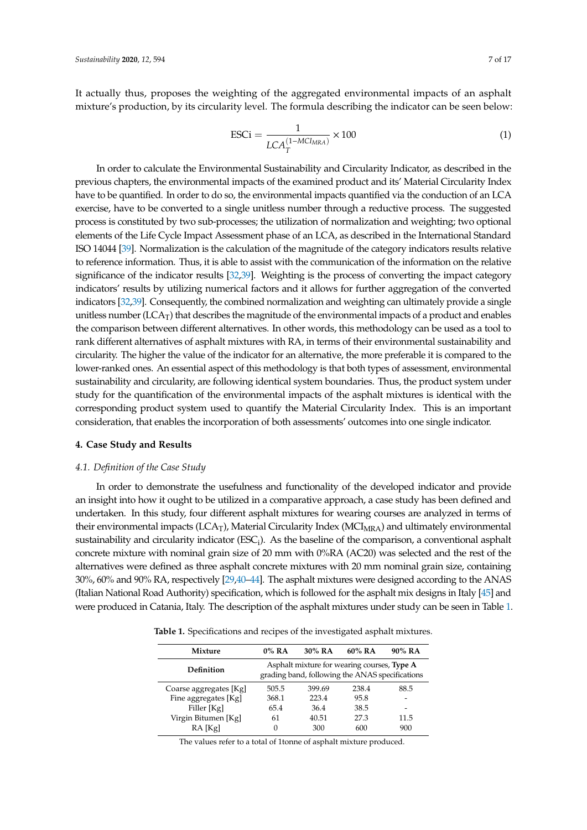It actually thus, proposes the weighting of the aggregated environmental impacts of an asphalt mixture's production, by its circularity level. The formula describing the indicator can be seen below:

$$
\text{ESCi} = \frac{1}{LCA_T^{(1-MCI_{MRA})}} \times 100\tag{1}
$$

In order to calculate the Environmental Sustainability and Circularity Indicator, as described in the previous chapters, the environmental impacts of the examined product and its' Material Circularity Index have to be quantified. In order to do so, the environmental impacts quantified via the conduction of an LCA exercise, have to be converted to a single unitless number through a reductive process. The suggested process is constituted by two sub-processes; the utilization of normalization and weighting; two optional elements of the Life Cycle Impact Assessment phase of an LCA, as described in the International Standard ISO 14044 [\[39\]](#page-15-7). Normalization is the calculation of the magnitude of the category indicators results relative to reference information. Thus, it is able to assist with the communication of the information on the relative significance of the indicator results [\[32](#page-15-1)[,39\]](#page-15-7). Weighting is the process of converting the impact category indicators' results by utilizing numerical factors and it allows for further aggregation of the converted indicators [\[32](#page-15-1)[,39\]](#page-15-7). Consequently, the combined normalization and weighting can ultimately provide a single unitless number  $(LCA_T)$  that describes the magnitude of the environmental impacts of a product and enables the comparison between different alternatives. In other words, this methodology can be used as a tool to rank different alternatives of asphalt mixtures with RA, in terms of their environmental sustainability and circularity. The higher the value of the indicator for an alternative, the more preferable it is compared to the lower-ranked ones. An essential aspect of this methodology is that both types of assessment, environmental sustainability and circularity, are following identical system boundaries. Thus, the product system under study for the quantification of the environmental impacts of the asphalt mixtures is identical with the corresponding product system used to quantify the Material Circularity Index. This is an important consideration, that enables the incorporation of both assessments' outcomes into one single indicator.

#### <span id="page-6-0"></span>**4. Case Study and Results**

### *4.1. Definition of the Case Study*

In order to demonstrate the usefulness and functionality of the developed indicator and provide an insight into how it ought to be utilized in a comparative approach, a case study has been defined and undertaken. In this study, four different asphalt mixtures for wearing courses are analyzed in terms of their environmental impacts (LCA<sub>T</sub>), Material Circularity Index (MCI<sub>MRA</sub>) and ultimately environmental sustainability and circularity indicator ( $\text{ESC}_i$ ). As the baseline of the comparison, a conventional asphalt concrete mixture with nominal grain size of 20 mm with 0%RA (AC20) was selected and the rest of the alternatives were defined as three asphalt concrete mixtures with 20 mm nominal grain size, containing 30%, 60% and 90% RA, respectively [\[29,](#page-14-21)[40](#page-15-8)[–44\]](#page-15-9). The asphalt mixtures were designed according to the ANAS (Italian National Road Authority) specification, which is followed for the asphalt mix designs in Italy [\[45\]](#page-15-10) and were produced in Catania, Italy. The description of the asphalt mixtures under study can be seen in Table [1.](#page-6-1)

<span id="page-6-1"></span>**Table 1.** Specifications and recipes of the investigated asphalt mixtures.

| Mixture                | $0\%$ RA | 30% RA                                                                                         | $60\%$ RA | 90% RA |
|------------------------|----------|------------------------------------------------------------------------------------------------|-----------|--------|
| Definition             |          | Asphalt mixture for wearing courses, Type A<br>grading band, following the ANAS specifications |           |        |
| Coarse aggregates [Kg] | 505.5    | 399.69                                                                                         | 238.4     | 88.5   |
| Fine aggregates [Kg]   | 368.1    | 223.4                                                                                          | 95.8      |        |
| Filler [Kg]            | 65.4     | 36.4                                                                                           | 38.5      | -      |
| Virgin Bitumen [Kg]    | 61       | 40.51                                                                                          | 27.3      | 11.5   |
| RA [Kg]                | $\Omega$ | 300                                                                                            | 600       | 900    |

The values refer to a total of 1tonne of asphalt mixture produced.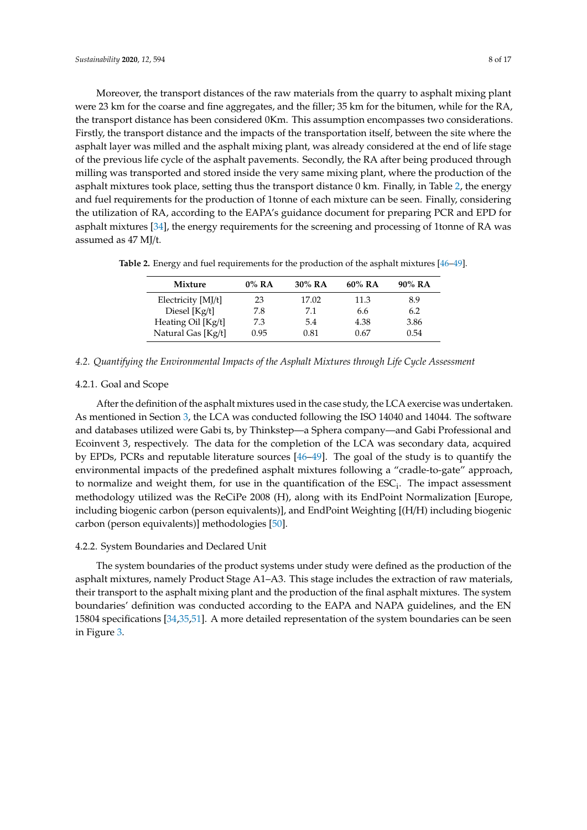Moreover, the transport distances of the raw materials from the quarry to asphalt mixing plant were 23 km for the coarse and fine aggregates, and the filler; 35 km for the bitumen, while for the RA, the transport distance has been considered 0Km. This assumption encompasses two considerations. Firstly, the transport distance and the impacts of the transportation itself, between the site where the asphalt layer was milled and the asphalt mixing plant, was already considered at the end of life stage of the previous life cycle of the asphalt pavements. Secondly, the RA after being produced through milling was transported and stored inside the very same mixing plant, where the production of the asphalt mixtures took place, setting thus the transport distance 0 km. Finally, in Table [2,](#page-7-0) the energy and fuel requirements for the production of 1tonne of each mixture can be seen. Finally, considering the utilization of RA, according to the EAPA's guidance document for preparing PCR and EPD for asphalt mixtures [\[34\]](#page-15-3), the energy requirements for the screening and processing of 1tonne of RA was assumed as 47 MJ/t.

| Mixture            | $0\%$ RA | 30% RA | 60% RA | 90% RA |
|--------------------|----------|--------|--------|--------|
| Electricity [MJ/t] | 23       | 17.02  | 11.3   | 8.9    |
| Diesel [Kg/t]      | 7.8      | 7.1    | 6.6    | 6.2    |
| Heating Oil [Kg/t] | 7.3      | 5.4    | 4.38   | 3.86   |
| Natural Gas [Kg/t] | 0.95     | 0.81   | 0.67   | 0.54   |

<span id="page-7-0"></span>**Table 2.** Energy and fuel requirements for the production of the asphalt mixtures [\[46–](#page-15-11)[49\]](#page-16-0).

## *4.2. Quantifying the Environmental Impacts of the Asphalt Mixtures through Life Cycle Assessment*

## 4.2.1. Goal and Scope

After the definition of the asphalt mixtures used in the case study, the LCA exercise was undertaken. As mentioned in Section [3,](#page-4-0) the LCA was conducted following the ISO 14040 and 14044. The software and databases utilized were Gabi ts, by Thinkstep—a Sphera company—and Gabi Professional and Ecoinvent 3, respectively. The data for the completion of the LCA was secondary data, acquired by EPDs, PCRs and reputable literature sources [\[46](#page-15-11)[–49\]](#page-16-0). The goal of the study is to quantify the environmental impacts of the predefined asphalt mixtures following a "cradle-to-gate" approach, to normalize and weight them, for use in the quantification of the  $\text{ESC}_i$ . The impact assessment methodology utilized was the ReCiPe 2008 (H), along with its EndPoint Normalization [Europe, including biogenic carbon (person equivalents)], and EndPoint Weighting [(H/H) including biogenic carbon (person equivalents)] methodologies [\[50\]](#page-16-1).

## 4.2.2. System Boundaries and Declared Unit

The system boundaries of the product systems under study were defined as the production of the asphalt mixtures, namely Product Stage A1–A3. This stage includes the extraction of raw materials, their transport to the asphalt mixing plant and the production of the final asphalt mixtures. The system boundaries' definition was conducted according to the EAPA and NAPA guidelines, and the EN 15804 specifications [\[34](#page-15-3)[,35](#page-15-12)[,51\]](#page-16-2). A more detailed representation of the system boundaries can be seen in Figure [3.](#page-8-0)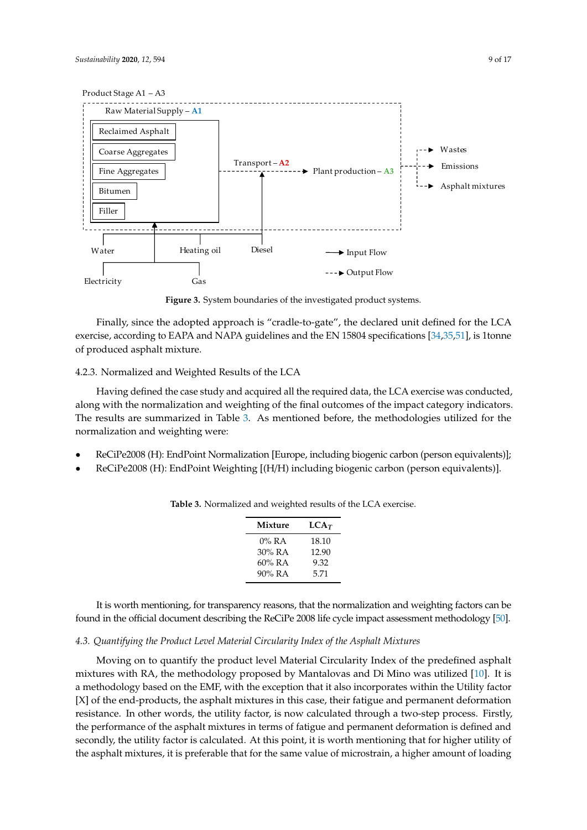<span id="page-8-0"></span>

**Figure 3.** System boundaries of the investigated product systems. **Figure 3.** System boundaries of the investigated product systems.

exercise, according to EAPA and NAPA guidelines and the EN 15804 specifications [\[34,](#page-15-3)[35,](#page-15-12)[51\]](#page-16-2), is 1tonne  $\epsilon$  exercises, and  $\epsilon$  and  $\epsilon$  and  $\epsilon$  and  $\epsilon$  is  $\epsilon$  is  $\epsilon$  is  $\epsilon$  is  $\epsilon$  is  $\epsilon$  is  $\epsilon$  is  $\epsilon$  is  $\epsilon$  is  $\epsilon$  is  $\epsilon$  is  $\epsilon$  is  $\epsilon$  is  $\epsilon$  is  $\epsilon$  is  $\epsilon$  is  $\epsilon$  is  $\epsilon$  is  $\epsilon$  is  $\epsilon$  is  $\epsilon$  is  $\epsilon$  i of produced asphalt mixture. Finally, since the adopted approach is "cradle-to-gate", the declared unit defined for the LCA

### <span id="page-8-3"></span>4.2.3. Normalized and Weighted Results of the LCA

4.2.3. Normalized and Weighted Results of the LCA along with the normalization and weighting of the final outcomes of the impact category indicators. The results are summarized in Table [3.](#page-8-1) As mentioned before, the methodologies utilized for the normalization and weighting were:  $\frac{1}{2}$ Having defined the case study and acquired all the required data, the LCA exercise was conducted,

- ReCiPe2008 (H): EndPoint Normalization [Europe, including biogenic carbon (person ReCiPe2008 (H): EndPoint Normalization [Europe, including biogenic carbon (person equivalents)];
- <span id="page-8-1"></span>• ReCiPe2008 (H): EndPoint Weighting [(H/H) including biogenic carbon (person equivalents)].

| Mixture   | $LCA_T$ |
|-----------|---------|
| $0\%$ RA  | 18.10   |
| 30% RA    | 12.90   |
| $60\%$ RA | 9.32    |
| $90\%$ RA | 5.71    |

**Table 3.** Normalized and weighted results of the LCA exercise. **Table 3.** Normalized and weighted results of the LCA exercise.

It is worth mention  $\frac{1}{2}$  is worth mention  $\frac{1}{2}$  for the normalization and weighting factors  $\frac{1}{2}$  for  $\frac{1}{2}$  for  $\frac{1}{2}$  for  $\frac{1}{2}$  for  $\frac{1}{2}$  for  $\frac{1}{2}$  for  $\frac{1}{2}$  for  $\frac{1}{2}$  for  $\frac{1}{2}$ found in the official document describing the ReCiPe 2008 life cycle impact assessment methodology [\[50\]](#page-16-1). It is worth mentioning, for transparency reasons, that the normalization and weighting factors can be

90% RA 5.71

# <span id="page-8-2"></span>4.3. Quantifying the Product Level Material Circularity Index of the Asphalt Mixtures

Moving on to quantify the product level Material Circularity Index of the predefined asphalt a methodology based on the EMF, with the exception that it also incorporates within the Utility factor [X] of the end-products, the asphalt mixtures in this case, their fatigue and permanent deformation resistance. In other words, the utility factor, is now calculated through a two-step process. Firstly, the performance of the asphalt mixtures in terms of fatigue and permanent deformation is defined and secondly, the utility factor is calculated. At this point, it is worth mentioning that for higher utility of the asphalt mixtures, it is preferable that for the same value of microstrain, a higher amount of loading secondly, the utility factor is calculated. At this point, it is worth mentioning that for higher utility of mixtures with RA, the methodology proposed by Mantalovas and Di Mino was utilized [\[10\]](#page-14-18). It is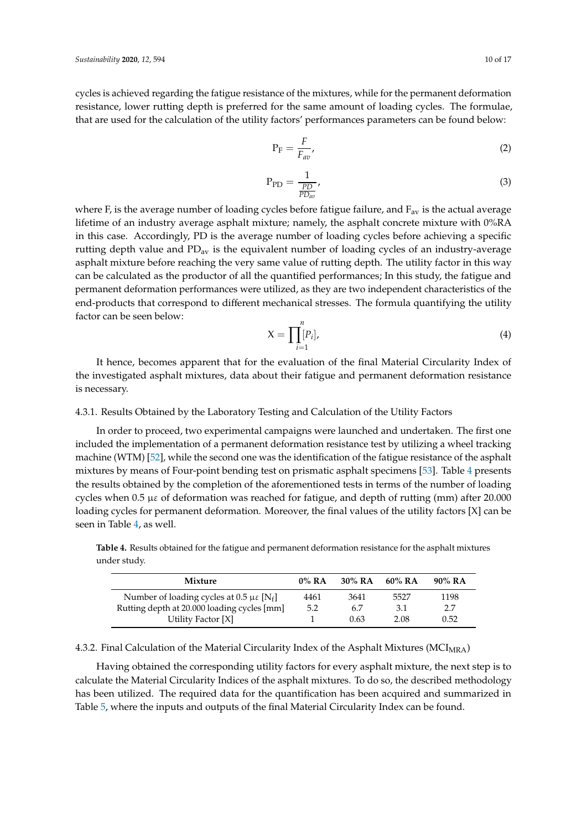cycles is achieved regarding the fatigue resistance of the mixtures, while for the permanent deformation resistance, lower rutting depth is preferred for the same amount of loading cycles. The formulae, that are used for the calculation of the utility factors' performances parameters can be found below:

$$
P_F = \frac{F}{F_{av}},\tag{2}
$$

$$
P_{PD} = \frac{1}{\frac{PD}{PD_{av}}},\tag{3}
$$

where F, is the average number of loading cycles before fatigue failure, and  $F_{av}$  is the actual average lifetime of an industry average asphalt mixture; namely, the asphalt concrete mixture with 0%RA in this case. Accordingly, PD is the average number of loading cycles before achieving a specific rutting depth value and  $PD_{av}$  is the equivalent number of loading cycles of an industry-average asphalt mixture before reaching the very same value of rutting depth. The utility factor in this way can be calculated as the productor of all the quantified performances; In this study, the fatigue and permanent deformation performances were utilized, as they are two independent characteristics of the end-products that correspond to different mechanical stresses. The formula quantifying the utility factor can be seen below:

$$
X = \prod_{i=1}^{n} [P_i],\tag{4}
$$

] 4461 3641 5527 1198

It hence, becomes apparent that for the evaluation of the final Material Circularity Index of the investigated asphalt mixtures, data about their fatigue and permanent deformation resistance is necessary.

## <span id="page-9-0"></span>4.3.1. Results Obtained by the Laboratory Testing and Calculation of the Utility Factors

In order to proceed, two experimental campaigns were launched and undertaken. The first one included the implementation of a permanent deformation resistance test by utilizing a wheel tracking machine (WTM) [\[52\]](#page-16-3), while the second one was the identification of the fatigue resistance of the asphalt mixtures by means of Four-point bending test on prismatic asphalt specimens [\[53\]](#page-16-4). Table [4](#page-9-1) presents the results obtained by the completion of the aforementioned tests in terms of the number of loading cycles when 0.5 µε of deformation was reached for fatigue, and depth of rutting (mm) after 20.000 loading cycles for permanent deformation. Moreover, the final values of the utility factors [X] can be seen in Table [4,](#page-9-1) as well.

**Mixture 0% RA 30% RA 60% RA 90% RA** Number of loading cycles at  $0.5 \mu \varepsilon$  [N<sub>f</sub>]

Rutting depth at 20.000 loading cycles [mm] 5.2 6.7 3.1 2.7

Utility Factor [X] 1 0.63 2.08 0.52

<span id="page-9-1"></span>

| <b>Table 4.</b> Results obtained for the fatigue and permanent deformation resistance for the asphalt mixtures |  |  |
|----------------------------------------------------------------------------------------------------------------|--|--|
| under studv.                                                                                                   |  |  |

<span id="page-9-2"></span>

| 4.3.2. Final Calculation of the Material Circularity Index of the Asphalt Mixtures (MCI $_{\rm MRA})$ |  |
|-------------------------------------------------------------------------------------------------------|--|
|-------------------------------------------------------------------------------------------------------|--|

Having obtained the corresponding utility factors for every asphalt mixture, the next step is to calculate the Material Circularity Indices of the asphalt mixtures. To do so, the described methodology has been utilized. The required data for the quantification has been acquired and summarized in Table [5,](#page-10-0) where the inputs and outputs of the final Material Circularity Index can be found.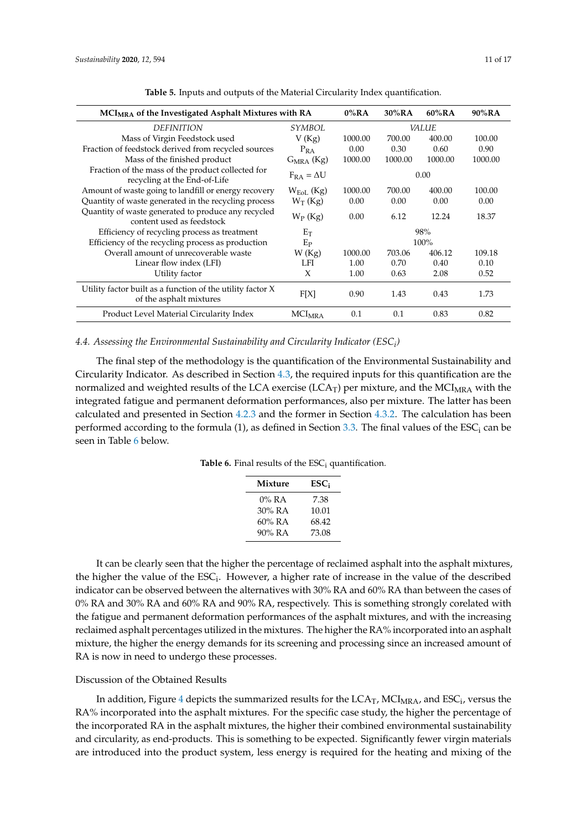<span id="page-10-0"></span>

| MCI <sub>MRA</sub> of the Investigated Asphalt Mixtures with RA                       |                          | $0\%RA$ | 30%RA   | $60\%$ RA    | $90\%$ RA |
|---------------------------------------------------------------------------------------|--------------------------|---------|---------|--------------|-----------|
| <b>DEFINITION</b>                                                                     | <b>SYMBOL</b>            |         |         | <i>VALUE</i> |           |
| Mass of Virgin Feedstock used                                                         | V(Kg)                    | 1000.00 | 700.00  | 400.00       | 100.00    |
| Fraction of feedstock derived from recycled sources                                   | $P_{RA}$                 | 0.00    | 0.30    | 0.60         | 0.90      |
| Mass of the finished product                                                          | $G_{MRA}$ (Kg)           | 1000.00 | 1000.00 | 1000.00      | 1000.00   |
| Fraction of the mass of the product collected for<br>recycling at the End-of-Life     | $F_{RA} = \Delta U$      |         |         | 0.00         |           |
| Amount of waste going to landfill or energy recovery                                  | $W_{EoI}$ (Kg)           | 1000.00 | 700.00  | 400.00       | 100.00    |
| Quantity of waste generated in the recycling process                                  | $W_T$ (Kg)               | 0.00    | 0.00    | 0.00         | 0.00      |
| Quantity of waste generated to produce any recycled<br>content used as feedstock      | $W_P$ (Kg)               | 0.00    | 6.12    | 12.24        | 18.37     |
| Efficiency of recycling process as treatment                                          | $E_T$                    |         |         | 98%          |           |
| Efficiency of the recycling process as production                                     | $E_{\rm P}$              |         |         | 100%         |           |
| Overall amount of unrecoverable waste                                                 | W(Kg)                    | 1000.00 | 703.06  | 406.12       | 109.18    |
| Linear flow index (LFI)                                                               | LFI                      | 1.00    | 0.70    | 0.40         | 0.10      |
| Utility factor                                                                        | X                        | 1.00    | 0.63    | 2.08         | 0.52      |
| Utility factor built as a function of the utility factor X<br>of the asphalt mixtures | F[X]                     | 0.90    | 1.43    | 0.43         | 1.73      |
| Product Level Material Circularity Index                                              | <b>MCI<sub>MRA</sub></b> | 0.1     | 0.1     | 0.83         | 0.82      |

**Table 5.** Inputs and outputs of the Material Circularity Index quantification.

# *4.4. Assessing the Environmental Sustainability and Circularity Indicator (ESC<sup>i</sup> )*

<span id="page-10-1"></span>The final step of the methodology is the quantification of the Environmental Sustainability and Circularity Indicator. As described in Section [4.3,](#page-8-2) the required inputs for this quantification are the normalized and weighted results of the LCA exercise (LCA<sub>T</sub>) per mixture, and the MCI<sub>MRA</sub> with the integrated fatigue and permanent deformation performances, also per mixture. The latter has been calculated and presented in Section [4.2.3](#page-8-3) and the former in Section [4.3.2.](#page-9-2) The calculation has been performed according to the formula  $(1)$ , as defined in Section [3.3.](#page-5-1) The final values of the ESC<sub>i</sub> can be seen in Table [6](#page-10-1) below.

| Table 6. Final results of the $\text{ESC}_i$ quantification. |  |
|--------------------------------------------------------------|--|
|--------------------------------------------------------------|--|

| Mixture   | ESC:  |
|-----------|-------|
| $0\%$ RA  | 7.38  |
| $30\%$ RA | 10.01 |
| $60\%$ RA | 68.42 |
| 90% RA    | 73.08 |

It can be clearly seen that the higher the percentage of reclaimed asphalt into the asphalt mixtures, the higher the value of the  $\text{ESC}_i$ . However, a higher rate of increase in the value of the described indicator can be observed between the alternatives with 30% RA and 60% RA than between the cases of 0% RA and 30% RA and 60% RA and 90% RA, respectively. This is something strongly corelated with the fatigue and permanent deformation performances of the asphalt mixtures, and with the increasing reclaimed asphalt percentages utilized in the mixtures. The higher the RA% incorporated into an asphalt mixture, the higher the energy demands for its screening and processing since an increased amount of RA is now in need to undergo these processes.

#### Discussion of the Obtained Results

In addition, Figure [4](#page-11-0) depicts the summarized results for the  ${\rm LCA}_{\rm T}$ , MCI<sub>MRA</sub>, and ESC<sub>i</sub>, versus the RA% incorporated into the asphalt mixtures. For the specific case study, the higher the percentage of the incorporated RA in the asphalt mixtures, the higher their combined environmental sustainability and circularity, as end-products. This is something to be expected. Significantly fewer virgin materials are introduced into the product system, less energy is required for the heating and mixing of the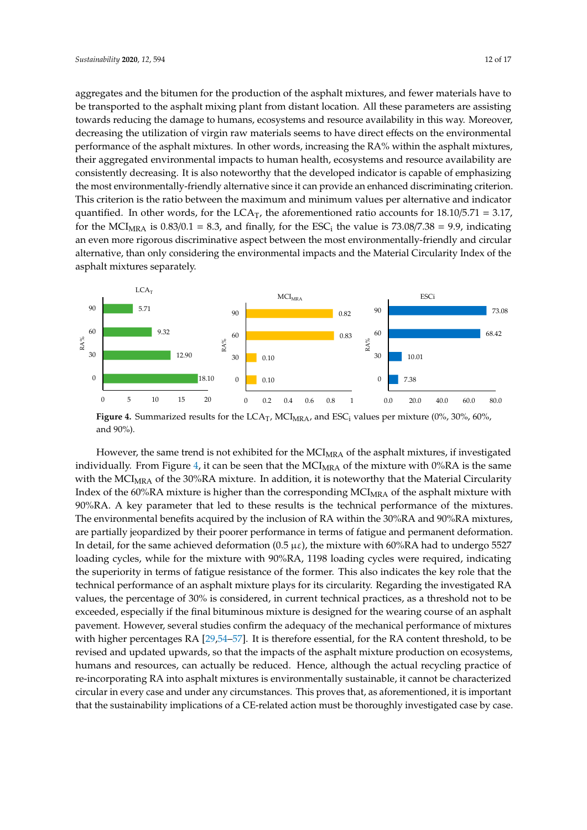aggregates and the bitumen for the production of the asphalt mixtures, and fewer materials have to be transported to the asphalt mixing plant from distant location. All these parameters are assisting aggregates and the bitumen for the production of the asphalt mixtures, and fewer materials have to<br>be transported to the asphalt mixing plant from distant location. All these parameters are assisting<br>towards reducing the d decreasing the utilization of virgin raw materials seems to have direct effects on the environmental<br>performance of the asphalt mixtures. In other words, increasing the RA% within the asphalt mixtures, performance of the asphalt mixtures. In other words, increasing the RA% within the asphalt mixtures, their aggregated environmental impacts to human health, ecosystems and resource availability are consistently decreasing. It is also noteworthy that the developed indicator is capable of emphasizing the most environmentally-friendly alternative since it can provide an enhanced discriminating criterion. This criterion is the ratio between the maximum and minimum values per alternative and indicator quantified. In other words, for the  $LCA_T$ , the aforementioned ratio accounts for  $18.10/5.71 = 3.17$ , for the MCI<sub>MRA</sub> is  $0.83/0.1 = 8.3$ , and finally, for the ESC<sub>i</sub> the value is 73.08/7.38 = 9.9, indicating an even more rigorous discriminative aspect between the most environmentally-friendly and circular alternative, than only considering the environmental impacts and the Material Circularity Index of the asphalt mixtures separately.

<span id="page-11-0"></span>

**Figure 4.** Summarized results for the  $LCA_T$ ,  $MCI_{MRA}$ , and  $ESC_i$  values per mixture (0%, 30%, 60%, 90%). and 90%).

However, the same trend is not exhibited for the MCI<sub>MRA</sub> of the asphalt mixtures, if investigated  $\frac{1}{2}$ individually. From Figure [4,](#page-11-0) it can be seen that the  $MCI_{MRA}$  of the mixture with 0%RA is the same with the MCI<sub>MRA</sub> of the 30%RA mixture. In addition, it is noteworthy that the Material Circularity  $\frac{1}{2}$ Index of the 60%RA mixture is higher than the corresponding MCI<sub>MRA</sub> of the asphalt mixture with  $\frac{1}{100}$ 90%RA. A key parameter that led to these results is the technical performance of the mixtures. The 90%RA. A key parameter that led to these results is the technical performance of the mixtures. The environmental benefits acquired by the inclusion of RA within the 30%RA and 90%RA mixtures, are partially jeopardized by their poorer performance in terms of fatigue and permanent deformation.<br>-In detail, for the same achieved deformation  $(0.5 \mu \varepsilon)$ , the mixture with 60%RA had to undergo 5527 loading cycles, while for the mixture with 90%RA, 1198 loading cycles were required, indicating loading cycles the superiority in terms of fatigue resistance of the former. This also indicates the key role that the technical performance of an asphalt mixture plays for its circularity. Regarding the investigated RA technical performance of an asphalt mixture plays for its circularity. Regarding the investigated RA values, the percentage of 30% is considered, in current technical practices, as a threshold not to be exceeded, especially if the final bituminous mixture is designed for the wearing course of an asphalt exceeded, especially if the final bituminous mixture is designed for the wearing course of an asphalt pavement. However, several studies confirm the adequacy of the mechanical performance of mixtures performance of mixtures with higher percentages RA  $[29,54–57]$  $[29,54–57]$  $[29,54–57]$ . It is therefore essential, for the RA content threshold, to be revised and updated upwards, so that the impacts of the asphalt mixture production on ecosystems, humans and resources, can actually be reduced. Hence, although the actual recycling practice of re-incorporating RA into asphalt mixtures is environmentally sustainable, it cannot be characterized circular in every case and under any circumstances. This proves that, as aforementioned, it is important that the sustainability implications of a CE-related action must be thoroughly investigated case by case.<br>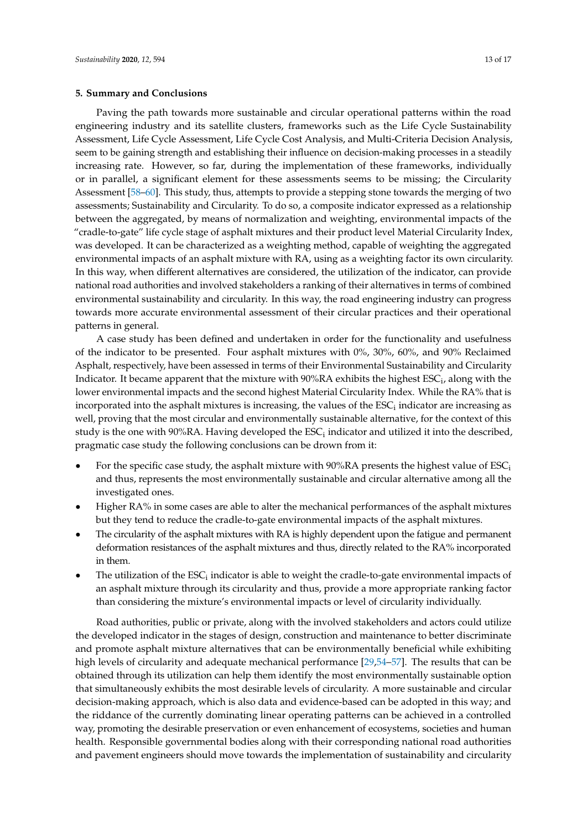### **5. Summary and Conclusions**

Paving the path towards more sustainable and circular operational patterns within the road engineering industry and its satellite clusters, frameworks such as the Life Cycle Sustainability Assessment, Life Cycle Assessment, Life Cycle Cost Analysis, and Multi-Criteria Decision Analysis, seem to be gaining strength and establishing their influence on decision-making processes in a steadily increasing rate. However, so far, during the implementation of these frameworks, individually or in parallel, a significant element for these assessments seems to be missing; the Circularity Assessment [\[58–](#page-16-7)[60\]](#page-16-8). This study, thus, attempts to provide a stepping stone towards the merging of two assessments; Sustainability and Circularity. To do so, a composite indicator expressed as a relationship between the aggregated, by means of normalization and weighting, environmental impacts of the "cradle-to-gate" life cycle stage of asphalt mixtures and their product level Material Circularity Index, was developed. It can be characterized as a weighting method, capable of weighting the aggregated environmental impacts of an asphalt mixture with RA, using as a weighting factor its own circularity. In this way, when different alternatives are considered, the utilization of the indicator, can provide national road authorities and involved stakeholders a ranking of their alternatives in terms of combined environmental sustainability and circularity. In this way, the road engineering industry can progress towards more accurate environmental assessment of their circular practices and their operational patterns in general.

A case study has been defined and undertaken in order for the functionality and usefulness of the indicator to be presented. Four asphalt mixtures with 0%, 30%, 60%, and 90% Reclaimed Asphalt, respectively, have been assessed in terms of their Environmental Sustainability and Circularity Indicator. It became apparent that the mixture with 90%RA exhibits the highest  $\text{ESC}_{\text{i}}$ , along with the lower environmental impacts and the second highest Material Circularity Index. While the RA% that is incorporated into the asphalt mixtures is increasing, the values of the  $\mathsf{ESC}_{\text{i}}$  indicator are increasing as well, proving that the most circular and environmentally sustainable alternative, for the context of this study is the one with 90%RA. Having developed the  $\mathsf{ESC}_{\mathrm{i}}$  indicator and utilized it into the described, pragmatic case study the following conclusions can be drown from it:

- For the specific case study, the asphalt mixture with 90%RA presents the highest value of  $\text{ESC}_i$ and thus, represents the most environmentally sustainable and circular alternative among all the investigated ones.
- Higher RA% in some cases are able to alter the mechanical performances of the asphalt mixtures but they tend to reduce the cradle-to-gate environmental impacts of the asphalt mixtures.
- The circularity of the asphalt mixtures with RA is highly dependent upon the fatigue and permanent deformation resistances of the asphalt mixtures and thus, directly related to the RA% incorporated in them.
- The utilization of the  $\text{ESC}_i$  indicator is able to weight the cradle-to-gate environmental impacts of an asphalt mixture through its circularity and thus, provide a more appropriate ranking factor than considering the mixture's environmental impacts or level of circularity individually.

Road authorities, public or private, along with the involved stakeholders and actors could utilize the developed indicator in the stages of design, construction and maintenance to better discriminate and promote asphalt mixture alternatives that can be environmentally beneficial while exhibiting high levels of circularity and adequate mechanical performance [\[29,](#page-14-21)[54](#page-16-5)[–57\]](#page-16-6). The results that can be obtained through its utilization can help them identify the most environmentally sustainable option that simultaneously exhibits the most desirable levels of circularity. A more sustainable and circular decision-making approach, which is also data and evidence-based can be adopted in this way; and the riddance of the currently dominating linear operating patterns can be achieved in a controlled way, promoting the desirable preservation or even enhancement of ecosystems, societies and human health. Responsible governmental bodies along with their corresponding national road authorities and pavement engineers should move towards the implementation of sustainability and circularity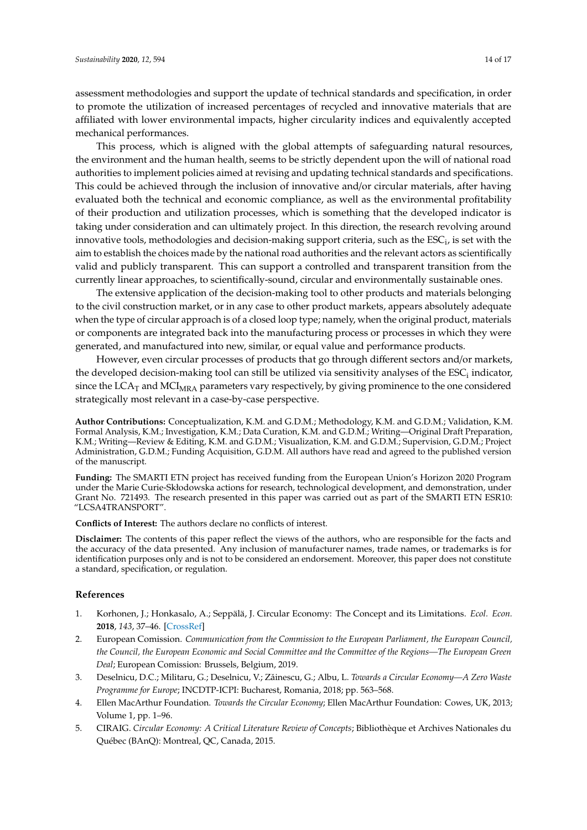assessment methodologies and support the update of technical standards and specification, in order to promote the utilization of increased percentages of recycled and innovative materials that are affiliated with lower environmental impacts, higher circularity indices and equivalently accepted mechanical performances.

This process, which is aligned with the global attempts of safeguarding natural resources, the environment and the human health, seems to be strictly dependent upon the will of national road authorities to implement policies aimed at revising and updating technical standards and specifications. This could be achieved through the inclusion of innovative and/or circular materials, after having evaluated both the technical and economic compliance, as well as the environmental profitability of their production and utilization processes, which is something that the developed indicator is taking under consideration and can ultimately project. In this direction, the research revolving around innovative tools, methodologies and decision-making support criteria, such as the  $\mathrm{ESC}_{\mathrm{i}}$ , is set with the aim to establish the choices made by the national road authorities and the relevant actors as scientifically valid and publicly transparent. This can support a controlled and transparent transition from the currently linear approaches, to scientifically-sound, circular and environmentally sustainable ones.

The extensive application of the decision-making tool to other products and materials belonging to the civil construction market, or in any case to other product markets, appears absolutely adequate when the type of circular approach is of a closed loop type; namely, when the original product, materials or components are integrated back into the manufacturing process or processes in which they were generated, and manufactured into new, similar, or equal value and performance products.

However, even circular processes of products that go through different sectors and/or markets, the developed decision-making tool can still be utilized via sensitivity analyses of the  $\mathsf{ESC}_{\text{i}}$  indicator, since the LCA<sub>T</sub> and MCI<sub>MRA</sub> parameters vary respectively, by giving prominence to the one considered strategically most relevant in a case-by-case perspective.

**Author Contributions:** Conceptualization, K.M. and G.D.M.; Methodology, K.M. and G.D.M.; Validation, K.M. Formal Analysis, K.M.; Investigation, K.M.; Data Curation, K.M. and G.D.M.; Writing—Original Draft Preparation, K.M.; Writing—Review & Editing, K.M. and G.D.M.; Visualization, K.M. and G.D.M.; Supervision, G.D.M.; Project Administration, G.D.M.; Funding Acquisition, G.D.M. All authors have read and agreed to the published version of the manuscript.

**Funding:** The SMARTI ETN project has received funding from the European Union's Horizon 2020 Program under the Marie Curie-Skłodowska actions for research, technological development, and demonstration, under Grant No. 721493. The research presented in this paper was carried out as part of the SMARTI ETN ESR10: "LCSA4TRANSPORT".

**Conflicts of Interest:** The authors declare no conflicts of interest.

**Disclaimer:** The contents of this paper reflect the views of the authors, who are responsible for the facts and the accuracy of the data presented. Any inclusion of manufacturer names, trade names, or trademarks is for identification purposes only and is not to be considered an endorsement. Moreover, this paper does not constitute a standard, specification, or regulation.

#### **References**

- <span id="page-13-0"></span>1. Korhonen, J.; Honkasalo, A.; Seppälä, J. Circular Economy: The Concept and its Limitations. *Ecol. Econ.* **2018**, *143*, 37–46. [\[CrossRef\]](http://dx.doi.org/10.1016/j.ecolecon.2017.06.041)
- <span id="page-13-1"></span>2. European Comission. *Communication from the Commission to the European Parliament, the European Council, the Council, the European Economic and Social Committee and the Committee of the Regions—The European Green Deal*; European Comission: Brussels, Belgium, 2019.
- <span id="page-13-2"></span>3. Deselnicu, D.C.; Militaru, G.; Deselnicu, V.; Zăinescu, G.; Albu, L. *Towards a Circular Economy—A Zero Waste Programme for Europe*; INCDTP-ICPI: Bucharest, Romania, 2018; pp. 563–568.
- <span id="page-13-4"></span>4. Ellen MacArthur Foundation. *Towards the Circular Economy*; Ellen MacArthur Foundation: Cowes, UK, 2013; Volume 1, pp. 1–96.
- <span id="page-13-3"></span>5. CIRAIG. *Circular Economy: A Critical Literature Review of Concepts*; Bibliothèque et Archives Nationales du Québec (BAnQ): Montreal, QC, Canada, 2015.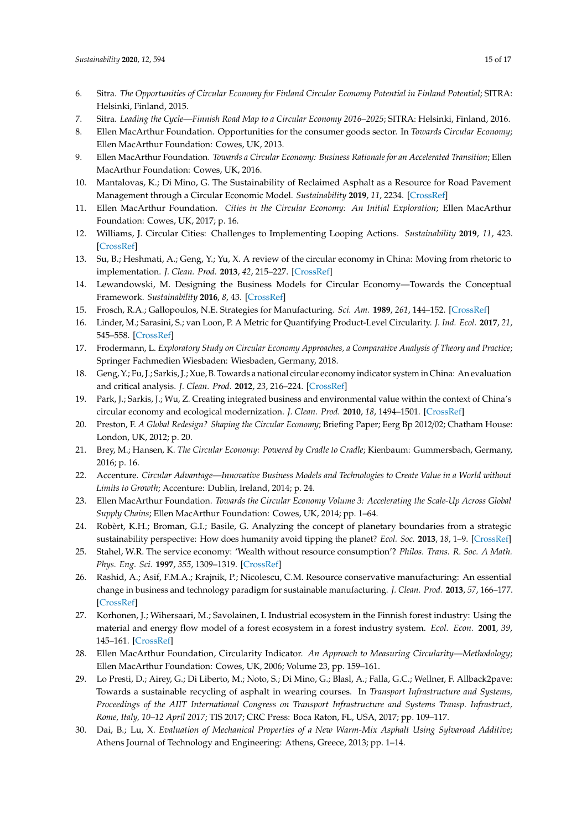- <span id="page-14-0"></span>6. Sitra. *The Opportunities of Circular Economy for Finland Circular Economy Potential in Finland Potential*; SITRA: Helsinki, Finland, 2015.
- 7. Sitra. *Leading the Cycle—Finnish Road Map to a Circular Economy 2016–2025*; SITRA: Helsinki, Finland, 2016.
- <span id="page-14-1"></span>8. Ellen MacArthur Foundation. Opportunities for the consumer goods sector. In *Towards Circular Economy*; Ellen MacArthur Foundation: Cowes, UK, 2013.
- <span id="page-14-2"></span>9. Ellen MacArthur Foundation. *Towards a Circular Economy: Business Rationale for an Accelerated Transition*; Ellen MacArthur Foundation: Cowes, UK, 2016.
- <span id="page-14-18"></span>10. Mantalovas, K.; Di Mino, G. The Sustainability of Reclaimed Asphalt as a Resource for Road Pavement Management through a Circular Economic Model. *Sustainability* **2019**, *11*, 2234. [\[CrossRef\]](http://dx.doi.org/10.3390/su11082234)
- 11. Ellen MacArthur Foundation. *Cities in the Circular Economy: An Initial Exploration*; Ellen MacArthur Foundation: Cowes, UK, 2017; p. 16.
- <span id="page-14-3"></span>12. Williams, J. Circular Cities: Challenges to Implementing Looping Actions. *Sustainability* **2019**, *11*, 423. [\[CrossRef\]](http://dx.doi.org/10.3390/su11020423)
- <span id="page-14-4"></span>13. Su, B.; Heshmati, A.; Geng, Y.; Yu, X. A review of the circular economy in China: Moving from rhetoric to implementation. *J. Clean. Prod.* **2013**, *42*, 215–227. [\[CrossRef\]](http://dx.doi.org/10.1016/j.jclepro.2012.11.020)
- <span id="page-14-5"></span>14. Lewandowski, M. Designing the Business Models for Circular Economy—Towards the Conceptual Framework. *Sustainability* **2016**, *8*, 43. [\[CrossRef\]](http://dx.doi.org/10.3390/su8010043)
- <span id="page-14-6"></span>15. Frosch, R.A.; Gallopoulos, N.E. Strategies for Manufacturing. *Sci. Am.* **1989**, *261*, 144–152. [\[CrossRef\]](http://dx.doi.org/10.1038/scientificamerican0989-144)
- <span id="page-14-7"></span>16. Linder, M.; Sarasini, S.; van Loon, P. A Metric for Quantifying Product-Level Circularity. *J. Ind. Ecol.* **2017**, *21*, 545–558. [\[CrossRef\]](http://dx.doi.org/10.1111/jiec.12552)
- <span id="page-14-8"></span>17. Frodermann, L. *Exploratory Study on Circular Economy Approaches, a Comparative Analysis of Theory and Practice*; Springer Fachmedien Wiesbaden: Wiesbaden, Germany, 2018.
- <span id="page-14-9"></span>18. Geng, Y.; Fu, J.; Sarkis, J.; Xue, B. Towards a national circular economy indicator system in China: An evaluation and critical analysis. *J. Clean. Prod.* **2012**, *23*, 216–224. [\[CrossRef\]](http://dx.doi.org/10.1016/j.jclepro.2011.07.005)
- <span id="page-14-10"></span>19. Park, J.; Sarkis, J.; Wu, Z. Creating integrated business and environmental value within the context of China's circular economy and ecological modernization. *J. Clean. Prod.* **2010**, *18*, 1494–1501. [\[CrossRef\]](http://dx.doi.org/10.1016/j.jclepro.2010.06.001)
- <span id="page-14-11"></span>20. Preston, F. *A Global Redesign? Shaping the Circular Economy*; Briefing Paper; Eerg Bp 2012/02; Chatham House: London, UK, 2012; p. 20.
- <span id="page-14-12"></span>21. Brey, M.; Hansen, K. *The Circular Economy: Powered by Cradle to Cradle*; Kienbaum: Gummersbach, Germany, 2016; p. 16.
- <span id="page-14-13"></span>22. Accenture. *Circular Advantage—Innovative Business Models and Technologies to Create Value in a World without Limits to Growth*; Accenture: Dublin, Ireland, 2014; p. 24.
- <span id="page-14-14"></span>23. Ellen MacArthur Foundation. *Towards the Circular Economy Volume 3: Accelerating the Scale-Up Across Global Supply Chains*; Ellen MacArthur Foundation: Cowes, UK, 2014; pp. 1–64.
- <span id="page-14-15"></span>24. Robèrt, K.H.; Broman, G.I.; Basile, G. Analyzing the concept of planetary boundaries from a strategic sustainability perspective: How does humanity avoid tipping the planet? *Ecol. Soc.* **2013**, *18*, 1–9. [\[CrossRef\]](http://dx.doi.org/10.5751/ES-05336-180205)
- <span id="page-14-16"></span>25. Stahel, W.R. The service economy: 'Wealth without resource consumption'? *Philos. Trans. R. Soc. A Math. Phys. Eng. Sci.* **1997**, *355*, 1309–1319. [\[CrossRef\]](http://dx.doi.org/10.1098/rsta.1997.0058)
- <span id="page-14-17"></span>26. Rashid, A.; Asif, F.M.A.; Krajnik, P.; Nicolescu, C.M. Resource conservative manufacturing: An essential change in business and technology paradigm for sustainable manufacturing. *J. Clean. Prod.* **2013**, *57*, 166–177. [\[CrossRef\]](http://dx.doi.org/10.1016/j.jclepro.2013.06.012)
- <span id="page-14-19"></span>27. Korhonen, J.; Wihersaari, M.; Savolainen, I. Industrial ecosystem in the Finnish forest industry: Using the material and energy flow model of a forest ecosystem in a forest industry system. *Ecol. Econ.* **2001**, *39*, 145–161. [\[CrossRef\]](http://dx.doi.org/10.1016/S0921-8009(01)00204-X)
- <span id="page-14-20"></span>28. Ellen MacArthur Foundation, Circularity Indicator. *An Approach to Measuring Circularity—Methodology*; Ellen MacArthur Foundation: Cowes, UK, 2006; Volume 23, pp. 159–161.
- <span id="page-14-21"></span>29. Lo Presti, D.; Airey, G.; Di Liberto, M.; Noto, S.; Di Mino, G.; Blasl, A.; Falla, G.C.; Wellner, F. Allback2pave: Towards a sustainable recycling of asphalt in wearing courses. In *Transport Infrastructure and Systems, Proceedings of the AIIT International Congress on Transport Infrastructure and Systems Transp. Infrastruct, Rome, Italy, 10–12 April 2017*; TIS 2017; CRC Press: Boca Raton, FL, USA, 2017; pp. 109–117.
- <span id="page-14-22"></span>30. Dai, B.; Lu, X. *Evaluation of Mechanical Properties of a New Warm-Mix Asphalt Using Sylvaroad Additive*; Athens Journal of Technology and Engineering: Athens, Greece, 2013; pp. 1–14.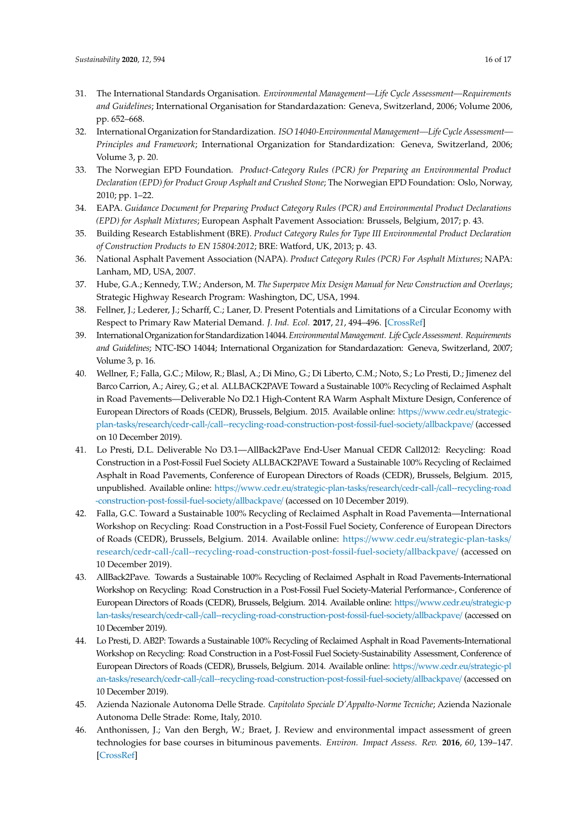- <span id="page-15-0"></span>31. The International Standards Organisation. *Environmental Management—Life Cycle Assessment—Requirements and Guidelines*; International Organisation for Standardazation: Geneva, Switzerland, 2006; Volume 2006, pp. 652–668.
- <span id="page-15-1"></span>32. International Organization for Standardization. *ISO 14040-Environmental Management—Life Cycle Assessment— Principles and Framework*; International Organization for Standardization: Geneva, Switzerland, 2006; Volume 3, p. 20.
- <span id="page-15-2"></span>33. The Norwegian EPD Foundation. *Product-Category Rules (PCR) for Preparing an Environmental Product Declaration (EPD) for Product Group Asphalt and Crushed Stone*; The Norwegian EPD Foundation: Oslo, Norway, 2010; pp. 1–22.
- <span id="page-15-3"></span>34. EAPA. *Guidance Document for Preparing Product Category Rules (PCR) and Environmental Product Declarations (EPD) for Asphalt Mixtures*; European Asphalt Pavement Association: Brussels, Belgium, 2017; p. 43.
- <span id="page-15-12"></span>35. Building Research Establishment (BRE). *Product Category Rules for Type III Environmental Product Declaration of Construction Products to EN 15804:2012*; BRE: Watford, UK, 2013; p. 43.
- <span id="page-15-4"></span>36. National Asphalt Pavement Association (NAPA). *Product Category Rules (PCR) For Asphalt Mixtures*; NAPA: Lanham, MD, USA, 2007.
- <span id="page-15-5"></span>37. Hube, G.A.; Kennedy, T.W.; Anderson, M. *The Superpave Mix Design Manual for New Construction and Overlays*; Strategic Highway Research Program: Washington, DC, USA, 1994.
- <span id="page-15-6"></span>38. Fellner, J.; Lederer, J.; Scharff, C.; Laner, D. Present Potentials and Limitations of a Circular Economy with Respect to Primary Raw Material Demand. *J. Ind. Ecol.* **2017**, *21*, 494–496. [\[CrossRef\]](http://dx.doi.org/10.1111/jiec.12582)
- <span id="page-15-7"></span>39. InternationalOrganization for Standardization 14044.*EnvironmentalManagement. LifeCycle Assessment. Requirements and Guidelines*; NTC-ISO 14044; International Organization for Standardazation: Geneva, Switzerland, 2007; Volume 3, p. 16.
- <span id="page-15-8"></span>40. Wellner, F.; Falla, G.C.; Milow, R.; Blasl, A.; Di Mino, G.; Di Liberto, C.M.; Noto, S.; Lo Presti, D.; Jimenez del Barco Carrion, A.; Airey, G.; et al. ALLBACK2PAVE Toward a Sustainable 100% Recycling of Reclaimed Asphalt in Road Pavements—Deliverable No D2.1 High-Content RA Warm Asphalt Mixture Design, Conference of European Directors of Roads (CEDR), Brussels, Belgium. 2015. Available online: https://[www.cedr.eu](https://www.cedr.eu/strategic-plan-tasks/research/cedr-call-2012/call-2012-recycling-road-construction-post-fossil-fuel-society/allback2pave/)/strategicplan-tasks/research/cedr-call-/[call--recycling-road-construction-post-fossil-fuel-society](https://www.cedr.eu/strategic-plan-tasks/research/cedr-call-2012/call-2012-recycling-road-construction-post-fossil-fuel-society/allback2pave/)/allbackpave/ (accessed on 10 December 2019).
- 41. Lo Presti, D.L. Deliverable No D3.1—AllBack2Pave End-User Manual CEDR Call2012: Recycling: Road Construction in a Post-Fossil Fuel Society ALLBACK2PAVE Toward a Sustainable 100% Recycling of Reclaimed Asphalt in Road Pavements, Conference of European Directors of Roads (CEDR), Brussels, Belgium. 2015, unpublished. Available online: https://www.cedr.eu/strategic-plan-tasks/research/cedr-call-/[call--recycling-road](https://www.cedr.eu/strategic-plan-tasks/research/cedr-call-2012/call-2012-recycling-road-construction-post-fossil-fuel-society/allback2pave/) [-construction-post-fossil-fuel-society](https://www.cedr.eu/strategic-plan-tasks/research/cedr-call-2012/call-2012-recycling-road-construction-post-fossil-fuel-society/allback2pave/)/allbackpave/ (accessed on 10 December 2019).
- 42. Falla, G.C. Toward a Sustainable 100% Recycling of Reclaimed Asphalt in Road Pavementa—International Workshop on Recycling: Road Construction in a Post-Fossil Fuel Society, Conference of European Directors of Roads (CEDR), Brussels, Belgium. 2014. Available online: https://www.cedr.eu/[strategic-plan-tasks](https://www.cedr.eu/strategic-plan-tasks/research/cedr-call-2012/call-2012-recycling-road-construction-post-fossil-fuel-society/allback2pave/)/ research/cedr-call-/[call--recycling-road-construction-post-fossil-fuel-society](https://www.cedr.eu/strategic-plan-tasks/research/cedr-call-2012/call-2012-recycling-road-construction-post-fossil-fuel-society/allback2pave/)/allbackpave/ (accessed on 10 December 2019).
- 43. AllBack2Pave. Towards a Sustainable 100% Recycling of Reclaimed Asphalt in Road Pavements-International Workshop on Recycling: Road Construction in a Post-Fossil Fuel Society-Material Performance-, Conference of European Directors of Roads (CEDR), Brussels, Belgium. 2014. Available online: https://[www.cedr.eu](https://www.cedr.eu/strategic-plan-tasks/research/cedr-call-2012/call-2012-recycling-road-construction-post-fossil-fuel-society/allback2pave/)/strategic-p lan-tasks/research/cedr-call-/[call--recycling-road-construction-post-fossil-fuel-society](https://www.cedr.eu/strategic-plan-tasks/research/cedr-call-2012/call-2012-recycling-road-construction-post-fossil-fuel-society/allback2pave/)/allbackpave/ (accessed on 10 December 2019).
- <span id="page-15-9"></span>44. Lo Presti, D. AB2P: Towards a Sustainable 100% Recycling of Reclaimed Asphalt in Road Pavements-International Workshop on Recycling: Road Construction in a Post-Fossil Fuel Society-Sustainability Assessment, Conference of European Directors of Roads (CEDR), Brussels, Belgium. 2014. Available online: https://[www.cedr.eu](https://www.cedr.eu/strategic-plan-tasks/research/cedr-call-2012/call-2012-recycling-road-construction-post-fossil-fuel-society/allback2pave/)/strategic-pl an-tasks/research/cedr-call-/[call--recycling-road-construction-post-fossil-fuel-society](https://www.cedr.eu/strategic-plan-tasks/research/cedr-call-2012/call-2012-recycling-road-construction-post-fossil-fuel-society/allback2pave/)/allbackpave/ (accessed on 10 December 2019).
- <span id="page-15-10"></span>45. Azienda Nazionale Autonoma Delle Strade. *Capitolato Speciale D'Appalto-Norme Tecniche*; Azienda Nazionale Autonoma Delle Strade: Rome, Italy, 2010.
- <span id="page-15-11"></span>46. Anthonissen, J.; Van den Bergh, W.; Braet, J. Review and environmental impact assessment of green technologies for base courses in bituminous pavements. *Environ. Impact Assess. Rev.* **2016**, *60*, 139–147. [\[CrossRef\]](http://dx.doi.org/10.1016/j.eiar.2016.04.005)